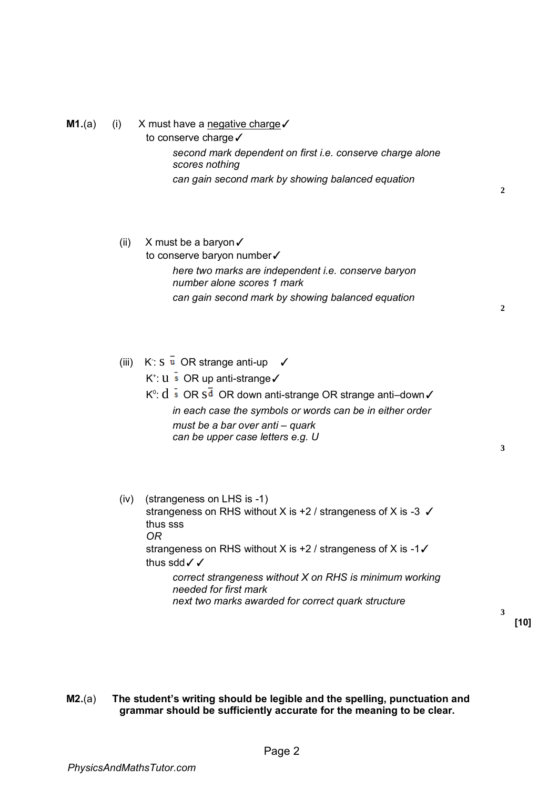## **M1.**(a) (i) X must have a negative charge  $\checkmark$

to conserve charge√ *second mark dependent on first i.e. conserve charge alone scores nothing can gain second mark by showing balanced equation* 

# (ii) X must be a baryon  $\checkmark$ to conserve baryon number✓

*here two marks are independent i.e. conserve baryon number alone scores 1 mark can gain second mark by showing balanced equation* 

**2**

**2**

(iii)  $K: S \overline{u}$  OR strange anti-up  $\checkmark$ 

K + : u OR up anti-strange✓

Kº:  $\mathrm{d}\bar{\hspace{0.1cm}}$  s $\,$  OR  $\mathrm{s}$   $\mathrm{\overline{d}}\,$  OR down anti-strange OR strange anti–down $\checkmark$ *in each case the symbols or words can be in either order must be a bar over anti ‒ quark can be upper case letters e.g. U* 

**3**

(iv) (strangeness on LHS is -1) strangeness on RHS without X is +2 / strangeness of X is -3 ✓ thus sss *OR* strangeness on RHS without X is +2 / strangeness of X is -1✓ thus sdd√√ *correct strangeness without X on RHS is minimum working needed for first mark next two marks awarded for correct quark structure* 

**[10]** 

**3**

**M2.**(a) **The student's writing should be legible and the spelling, punctuation and grammar should be sufficiently accurate for the meaning to be clear.**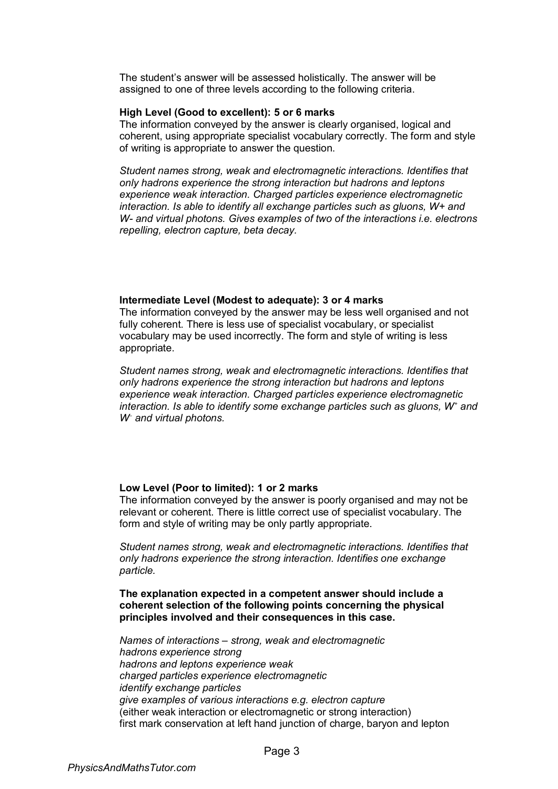The student's answer will be assessed holistically. The answer will be assigned to one of three levels according to the following criteria.

## **High Level (Good to excellent): 5 or 6 marks**

The information conveyed by the answer is clearly organised, logical and coherent, using appropriate specialist vocabulary correctly. The form and style of writing is appropriate to answer the question.

*Student names strong, weak and electromagnetic interactions. Identifies that only hadrons experience the strong interaction but hadrons and leptons experience weak interaction. Charged particles experience electromagnetic interaction. Is able to identify all exchange particles such as gluons, W+ and W- and virtual photons. Gives examples of two of the interactions i.e. electrons repelling, electron capture, beta decay.* 

#### **Intermediate Level (Modest to adequate): 3 or 4 marks**

The information conveyed by the answer may be less well organised and not fully coherent. There is less use of specialist vocabulary, or specialist vocabulary may be used incorrectly. The form and style of writing is less appropriate.

*Student names strong, weak and electromagnetic interactions. Identifies that only hadrons experience the strong interaction but hadrons and leptons experience weak interaction. Charged particles experience electromagnetic interaction. Is able to identify some exchange particles such as gluons, W<sup>+</sup> and W<sup>−</sup> and virtual photons.* 

## **Low Level (Poor to limited): 1 or 2 marks**

The information conveyed by the answer is poorly organised and may not be relevant or coherent. There is little correct use of specialist vocabulary. The form and style of writing may be only partly appropriate.

*Student names strong, weak and electromagnetic interactions. Identifies that only hadrons experience the strong interaction. Identifies one exchange particle.* 

**The explanation expected in a competent answer should include a coherent selection of the following points concerning the physical principles involved and their consequences in this case.** 

*Names of interactions ‒ strong, weak and electromagnetic hadrons experience strong hadrons and leptons experience weak charged particles experience electromagnetic identify exchange particles give examples of various interactions e.g. electron capture*  (either weak interaction or electromagnetic or strong interaction) first mark conservation at left hand junction of charge, baryon and lepton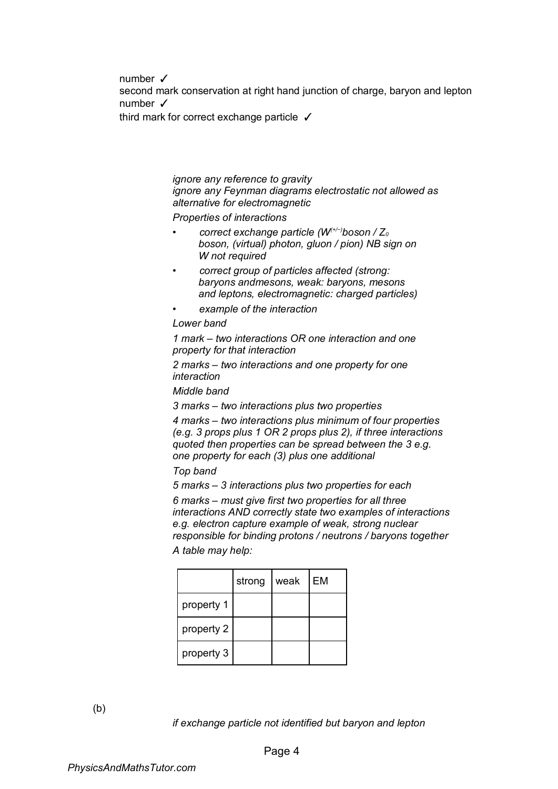number ✓

second mark conservation at right hand junction of charge, baryon and lepton number ✓

third mark for correct exchange particle ✓

## *ignore any reference to gravity ignore any Feynman diagrams electrostatic not allowed as alternative for electromagnetic*

*Properties of interactions* 

- *correct exchange particle (W(+/−)boson / Z<sup>0</sup> boson, (virtual) photon, gluon / pion) NB sign on W not required*
- *correct group of particles affected (strong: baryons andmesons, weak: baryons, mesons and leptons, electromagnetic: charged particles)*
- *example of the interaction*

*Lower band* 

*1 mark ‒ two interactions OR one interaction and one property for that interaction* 

*2 marks ‒ two interactions and one property for one interaction* 

*Middle band* 

*3 marks ‒ two interactions plus two properties* 

*4 marks ‒ two interactions plus minimum of four properties (e.g. 3 props plus 1 OR 2 props plus 2), if three interactions quoted then properties can be spread between the 3 e.g. one property for each (3) plus one additional* 

*Top band* 

*5 marks ‒ 3 interactions plus two properties for each* 

*6 marks ‒ must give first two properties for all three interactions AND correctly state two examples of interactions e.g. electron capture example of weak, strong nuclear responsible for binding protons / neutrons / baryons together A table may help:* 

|            | strong | weak | EM |
|------------|--------|------|----|
| property 1 |        |      |    |
| property 2 |        |      |    |
| property 3 |        |      |    |

(b)

*if exchange particle not identified but baryon and lepton*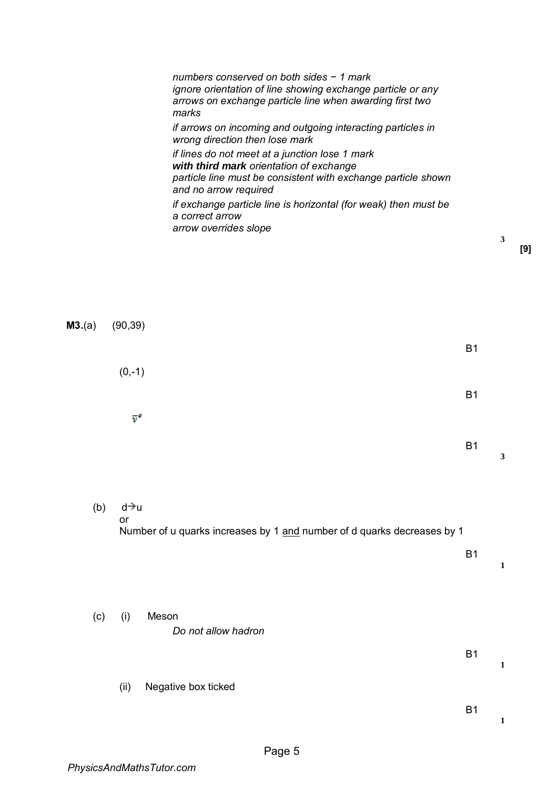*numbers conserved on both sides − 1 mark ignore orientation of line showing exchange particle or any arrows on exchange particle line when awarding first two marks if arrows on incoming and outgoing interacting particles in wrong direction then lose mark if lines do not meet at a junction lose 1 mark with third mark orientation of exchange particle line must be consistent with exchange particle shown and no arrow required if exchange particle line is horizontal (for weak) then must be a correct arrow arrow overrides slope* 

| M3.(a) | (90, 39)                                                                                   |           |   |
|--------|--------------------------------------------------------------------------------------------|-----------|---|
|        |                                                                                            | <b>B1</b> |   |
|        | $(0,-1)$                                                                                   |           |   |
|        | $\bar{v}^e$                                                                                | <b>B1</b> |   |
|        |                                                                                            | <b>B1</b> | 3 |
| (b)    | d→u                                                                                        |           |   |
|        | $\mathsf{or}\,$<br>Number of u quarks increases by 1 and number of d quarks decreases by 1 |           |   |
|        |                                                                                            | <b>B1</b> | 1 |
|        |                                                                                            |           |   |

- (c) (i) Meson *Do not allow hadron* 
	- (ii) Negative box ticked

B1

**1**

**1**

B1

**3**

**[9]**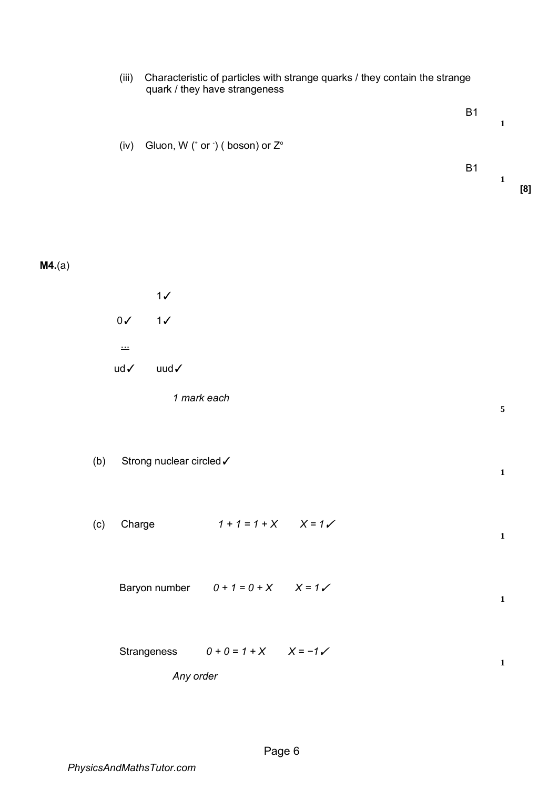| (iii)         | Characteristic of particles with strange quarks / they contain the strange<br>quark / they have strangeness |                                        |  |           |              |     |
|---------------|-------------------------------------------------------------------------------------------------------------|----------------------------------------|--|-----------|--------------|-----|
|               |                                                                                                             |                                        |  | <b>B1</b> | $\mathbf{1}$ |     |
| (iv)          |                                                                                                             | Gluon, W (* or *) ( boson) or Z°       |  |           |              |     |
|               |                                                                                                             |                                        |  | <b>B1</b> | $\mathbf{1}$ | [8] |
|               |                                                                                                             |                                        |  |           |              |     |
| M4.(a)        |                                                                                                             |                                        |  |           |              |     |
|               | $1\checkmark$                                                                                               |                                        |  |           |              |     |
| $0\sqrt{}$    | 1/                                                                                                          |                                        |  |           |              |     |
| $\frac{1}{2}$ |                                                                                                             |                                        |  |           |              |     |
| ud√           | uud $\checkmark$                                                                                            |                                        |  |           |              |     |
|               |                                                                                                             | 1 mark each                            |  |           | $\sqrt{5}$   |     |
| (b)           | Strong nuclear circled V                                                                                    |                                        |  |           | $\mathbf 1$  |     |
| (c)           | Charge                                                                                                      | $1 + 1 = 1 + X$ $X = 1$                |  |           | $\mathbf{1}$ |     |
|               |                                                                                                             | Baryon number $0 + 1 = 0 + X$ $X = 1V$ |  |           | $\mathbf{1}$ |     |
|               |                                                                                                             | Strangeness $0 + 0 = 1 + X$ $X = -1$   |  |           | $\mathbf 1$  |     |
|               | Any order                                                                                                   |                                        |  |           |              |     |